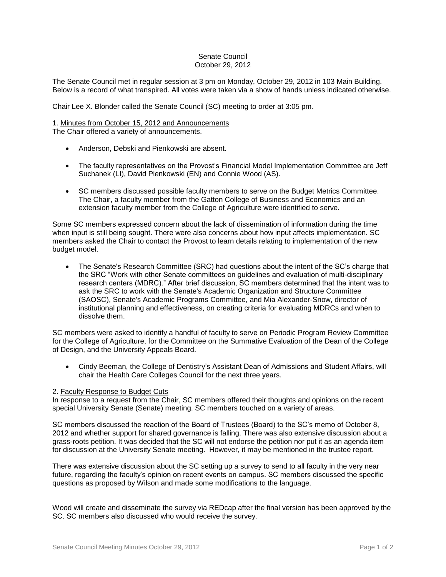## Senate Council October 29, 2012

The Senate Council met in regular session at 3 pm on Monday, October 29, 2012 in 103 Main Building. Below is a record of what transpired. All votes were taken via a show of hands unless indicated otherwise.

Chair Lee X. Blonder called the Senate Council (SC) meeting to order at 3:05 pm.

## 1. Minutes from October 15, 2012 and Announcements The Chair offered a variety of announcements.

• Anderson, Debski and Pienkowski are absent.

- The faculty representatives on the Provost's Financial Model Implementation Committee are Jeff Suchanek (LI), David Pienkowski (EN) and Connie Wood (AS).
- SC members discussed possible faculty members to serve on the Budget Metrics Committee. The Chair, a faculty member from the Gatton College of Business and Economics and an extension faculty member from the College of Agriculture were identified to serve.

Some SC members expressed concern about the lack of dissemination of information during the time when input is still being sought. There were also concerns about how input affects implementation. SC members asked the Chair to contact the Provost to learn details relating to implementation of the new budget model.

• The Senate's Research Committee (SRC) had questions about the intent of the SC's charge that the SRC "Work with other Senate committees on guidelines and evaluation of multi-disciplinary research centers (MDRC)." After brief discussion, SC members determined that the intent was to ask the SRC to work with the Senate's Academic Organization and Structure Committee (SAOSC), Senate's Academic Programs Committee, and Mia Alexander-Snow, director of institutional planning and effectiveness, on creating criteria for evaluating MDRCs and when to dissolve them.

SC members were asked to identify a handful of faculty to serve on Periodic Program Review Committee for the College of Agriculture, for the Committee on the Summative Evaluation of the Dean of the College of Design, and the University Appeals Board.

 Cindy Beeman, the College of Dentistry's Assistant Dean of Admissions and Student Affairs, will chair the Health Care Colleges Council for the next three years.

## 2. Faculty Response to Budget Cuts

In response to a request from the Chair, SC members offered their thoughts and opinions on the recent special University Senate (Senate) meeting. SC members touched on a variety of areas.

SC members discussed the reaction of the Board of Trustees (Board) to the SC's memo of October 8, 2012 and whether support for shared governance is falling. There was also extensive discussion about a grass-roots petition. It was decided that the SC will not endorse the petition nor put it as an agenda item for discussion at the University Senate meeting. However, it may be mentioned in the trustee report.

There was extensive discussion about the SC setting up a survey to send to all faculty in the very near future, regarding the faculty's opinion on recent events on campus. SC members discussed the specific questions as proposed by Wilson and made some modifications to the language.

Wood will create and disseminate the survey via REDcap after the final version has been approved by the SC. SC members also discussed who would receive the survey.